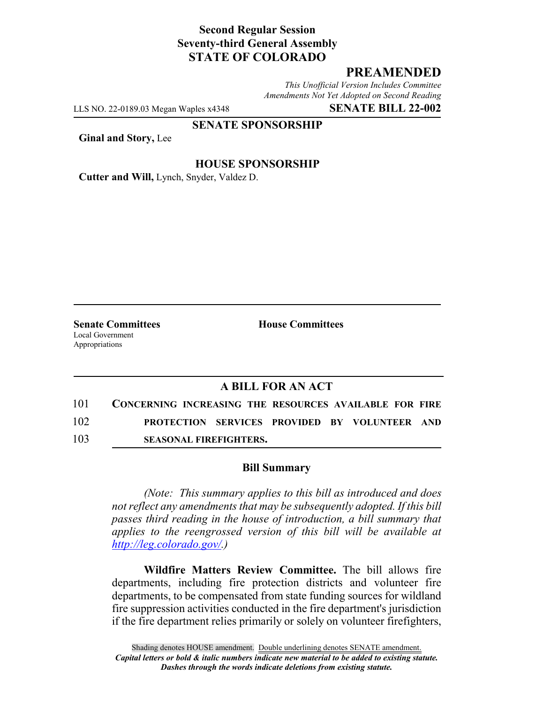# **Second Regular Session Seventy-third General Assembly STATE OF COLORADO**

# **PREAMENDED**

*This Unofficial Version Includes Committee Amendments Not Yet Adopted on Second Reading*

LLS NO. 22-0189.03 Megan Waples x4348 **SENATE BILL 22-002**

#### **SENATE SPONSORSHIP**

**Ginal and Story,** Lee

#### **HOUSE SPONSORSHIP**

**Cutter and Will,** Lynch, Snyder, Valdez D.

**Senate Committees House Committees** Local Government Appropriations

### **A BILL FOR AN ACT**

| 101 | CONCERNING INCREASING THE RESOURCES AVAILABLE FOR FIRE |  |  |
|-----|--------------------------------------------------------|--|--|
| 102 | <b>PROTECTION SERVICES PROVIDED BY VOLUNTEER AND</b>   |  |  |
| 103 | <b>SEASONAL FIREFIGHTERS.</b>                          |  |  |

### **Bill Summary**

*(Note: This summary applies to this bill as introduced and does not reflect any amendments that may be subsequently adopted. If this bill passes third reading in the house of introduction, a bill summary that applies to the reengrossed version of this bill will be available at http://leg.colorado.gov/.)*

**Wildfire Matters Review Committee.** The bill allows fire departments, including fire protection districts and volunteer fire departments, to be compensated from state funding sources for wildland fire suppression activities conducted in the fire department's jurisdiction if the fire department relies primarily or solely on volunteer firefighters,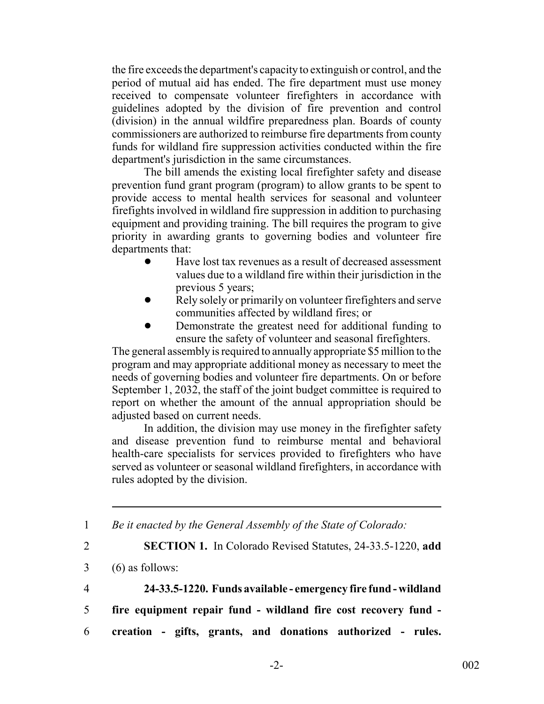the fire exceeds the department's capacity to extinguish or control, and the period of mutual aid has ended. The fire department must use money received to compensate volunteer firefighters in accordance with guidelines adopted by the division of fire prevention and control (division) in the annual wildfire preparedness plan. Boards of county commissioners are authorized to reimburse fire departments from county funds for wildland fire suppression activities conducted within the fire department's jurisdiction in the same circumstances.

The bill amends the existing local firefighter safety and disease prevention fund grant program (program) to allow grants to be spent to provide access to mental health services for seasonal and volunteer firefights involved in wildland fire suppression in addition to purchasing equipment and providing training. The bill requires the program to give priority in awarding grants to governing bodies and volunteer fire departments that:

- ! Have lost tax revenues as a result of decreased assessment values due to a wildland fire within their jurisdiction in the previous 5 years;
- Rely solely or primarily on volunteer firefighters and serve communities affected by wildland fires; or
- Demonstrate the greatest need for additional funding to ensure the safety of volunteer and seasonal firefighters.

The general assembly is required to annually appropriate \$5 million to the program and may appropriate additional money as necessary to meet the needs of governing bodies and volunteer fire departments. On or before September 1, 2032, the staff of the joint budget committee is required to report on whether the amount of the annual appropriation should be adjusted based on current needs.

In addition, the division may use money in the firefighter safety and disease prevention fund to reimburse mental and behavioral health-care specialists for services provided to firefighters who have served as volunteer or seasonal wildland firefighters, in accordance with rules adopted by the division.

1 *Be it enacted by the General Assembly of the State of Colorado:*

2 **SECTION 1.** In Colorado Revised Statutes, 24-33.5-1220, **add**

- 3 (6) as follows:
- 

4 **24-33.5-1220. Funds available - emergency fire fund - wildland**

- 5 **fire equipment repair fund wildland fire cost recovery fund -**
- 6 **creation gifts, grants, and donations authorized rules.**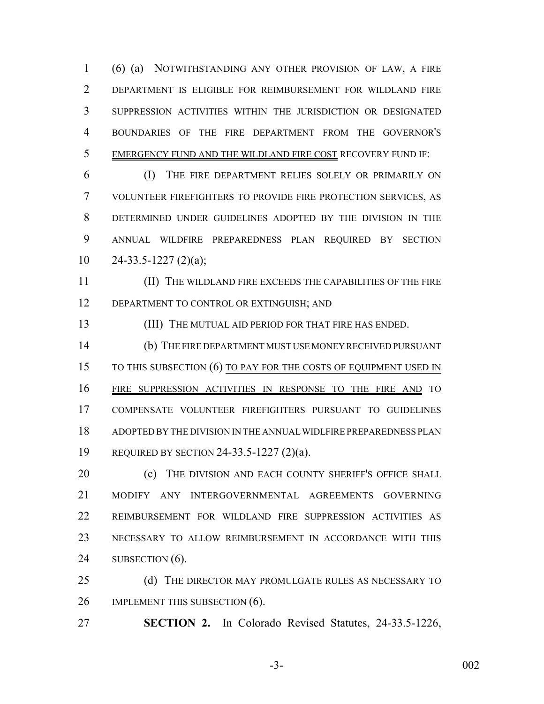(6) (a) NOTWITHSTANDING ANY OTHER PROVISION OF LAW, A FIRE DEPARTMENT IS ELIGIBLE FOR REIMBURSEMENT FOR WILDLAND FIRE SUPPRESSION ACTIVITIES WITHIN THE JURISDICTION OR DESIGNATED BOUNDARIES OF THE FIRE DEPARTMENT FROM THE GOVERNOR'S EMERGENCY FUND AND THE WILDLAND FIRE COST RECOVERY FUND IF:

 (I) THE FIRE DEPARTMENT RELIES SOLELY OR PRIMARILY ON VOLUNTEER FIREFIGHTERS TO PROVIDE FIRE PROTECTION SERVICES, AS DETERMINED UNDER GUIDELINES ADOPTED BY THE DIVISION IN THE ANNUAL WILDFIRE PREPAREDNESS PLAN REQUIRED BY SECTION 24-33.5-1227 (2)(a);

 (II) THE WILDLAND FIRE EXCEEDS THE CAPABILITIES OF THE FIRE 12 DEPARTMENT TO CONTROL OR EXTINGUISH; AND

(III) THE MUTUAL AID PERIOD FOR THAT FIRE HAS ENDED.

 (b) THE FIRE DEPARTMENT MUST USE MONEY RECEIVED PURSUANT 15 TO THIS SUBSECTION (6) TO PAY FOR THE COSTS OF EQUIPMENT USED IN FIRE SUPPRESSION ACTIVITIES IN RESPONSE TO THE FIRE AND TO COMPENSATE VOLUNTEER FIREFIGHTERS PURSUANT TO GUIDELINES ADOPTED BY THE DIVISION IN THE ANNUAL WIDLFIRE PREPAREDNESS PLAN REQUIRED BY SECTION 24-33.5-1227 (2)(a).

20 (c) THE DIVISION AND EACH COUNTY SHERIFF'S OFFICE SHALL MODIFY ANY INTERGOVERNMENTAL AGREEMENTS GOVERNING REIMBURSEMENT FOR WILDLAND FIRE SUPPRESSION ACTIVITIES AS NECESSARY TO ALLOW REIMBURSEMENT IN ACCORDANCE WITH THIS 24 SUBSECTION (6).

25 (d) THE DIRECTOR MAY PROMULGATE RULES AS NECESSARY TO 26 IMPLEMENT THIS SUBSECTION (6).

**SECTION 2.** In Colorado Revised Statutes, 24-33.5-1226,

-3- 002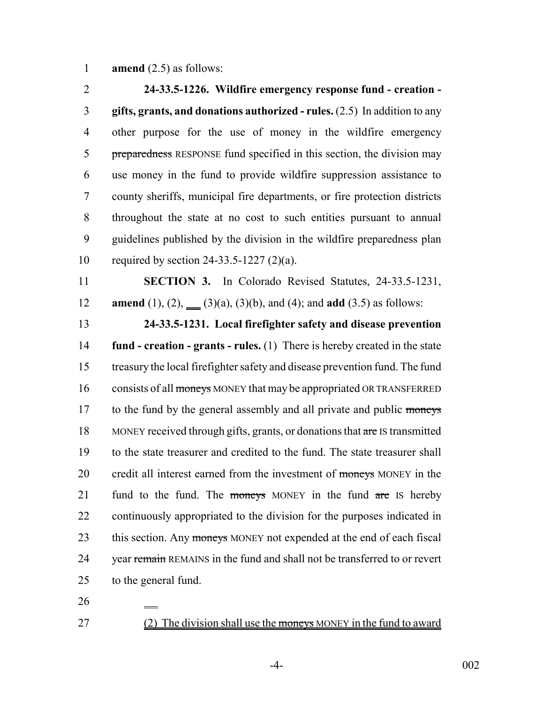**amend** (2.5) as follows:

 **24-33.5-1226. Wildfire emergency response fund - creation - gifts, grants, and donations authorized - rules.** (2.5) In addition to any other purpose for the use of money in the wildfire emergency 5 preparedness RESPONSE fund specified in this section, the division may use money in the fund to provide wildfire suppression assistance to county sheriffs, municipal fire departments, or fire protection districts throughout the state at no cost to such entities pursuant to annual guidelines published by the division in the wildfire preparedness plan required by section 24-33.5-1227 (2)(a). **SECTION 3.** In Colorado Revised Statutes, 24-33.5-1231,

12 **amend** (1), (2),  $(3)(a)$ , (3)(b), and (4); and **add** (3.5) as follows:

 **24-33.5-1231. Local firefighter safety and disease prevention fund - creation - grants - rules.** (1) There is hereby created in the state treasury the local firefighter safety and disease prevention fund. The fund 16 consists of all moneys MONEY that may be appropriated OR TRANSFERRED 17 to the fund by the general assembly and all private and public moneys 18 MONEY received through gifts, grants, or donations that are IS transmitted to the state treasurer and credited to the fund. The state treasurer shall 20 credit all interest earned from the investment of moneys MONEY in the 21 fund to the fund. The moneys MONEY in the fund are IS hereby continuously appropriated to the division for the purposes indicated in 23 this section. Any moneys MONEY not expended at the end of each fiscal 24 vear remain REMAINS in the fund and shall not be transferred to or revert to the general fund.

27 (2) The division shall use the moneys MONEY in the fund to award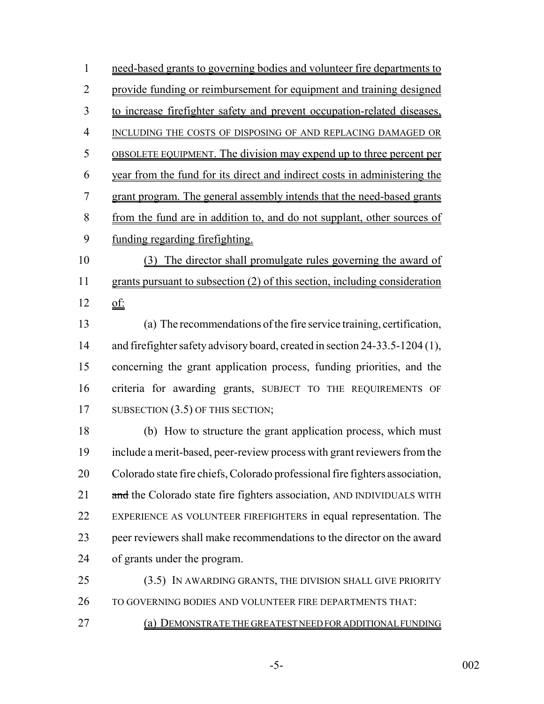need-based grants to governing bodies and volunteer fire departments to provide funding or reimbursement for equipment and training designed to increase firefighter safety and prevent occupation-related diseases, INCLUDING THE COSTS OF DISPOSING OF AND REPLACING DAMAGED OR OBSOLETE EQUIPMENT. The division may expend up to three percent per year from the fund for its direct and indirect costs in administering the grant program. The general assembly intends that the need-based grants from the fund are in addition to, and do not supplant, other sources of funding regarding firefighting. (3) The director shall promulgate rules governing the award of grants pursuant to subsection (2) of this section, including consideration of: (a) The recommendations of the fire service training, certification, and firefighter safety advisory board, created in section 24-33.5-1204 (1), concerning the grant application process, funding priorities, and the criteria for awarding grants, SUBJECT TO THE REQUIREMENTS OF 17 SUBSECTION (3.5) OF THIS SECTION; (b) How to structure the grant application process, which must include a merit-based, peer-review process with grant reviewers from the Colorado state fire chiefs, Colorado professional fire fighters association, 21 and the Colorado state fire fighters association, AND INDIVIDUALS WITH EXPERIENCE AS VOLUNTEER FIREFIGHTERS in equal representation. The

 peer reviewers shall make recommendations to the director on the award of grants under the program.

25 (3.5) IN AWARDING GRANTS, THE DIVISION SHALL GIVE PRIORITY TO GOVERNING BODIES AND VOLUNTEER FIRE DEPARTMENTS THAT:

(a) DEMONSTRATE THE GREATEST NEED FOR ADDITIONAL FUNDING

-5- 002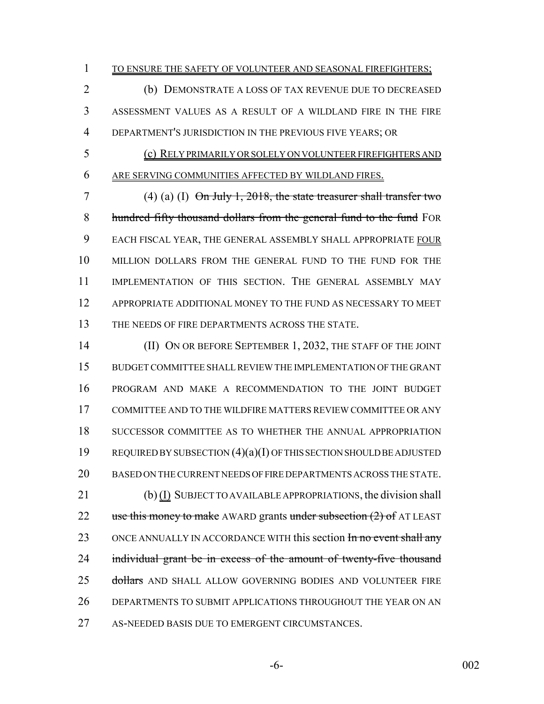1 TO ENSURE THE SAFETY OF VOLUNTEER AND SEASONAL FIREFIGHTERS;

 (b) DEMONSTRATE A LOSS OF TAX REVENUE DUE TO DECREASED ASSESSMENT VALUES AS A RESULT OF A WILDLAND FIRE IN THE FIRE DEPARTMENT'S JURISDICTION IN THE PREVIOUS FIVE YEARS; OR

 (c) RELY PRIMARILY OR SOLELY ON VOLUNTEER FIREFIGHTERS AND ARE SERVING COMMUNITIES AFFECTED BY WILDLAND FIRES.

 (4) (a) (I) On July 1, 2018, the state treasurer shall transfer two 8 hundred fifty thousand dollars from the general fund to the fund FOR EACH FISCAL YEAR, THE GENERAL ASSEMBLY SHALL APPROPRIATE FOUR MILLION DOLLARS FROM THE GENERAL FUND TO THE FUND FOR THE IMPLEMENTATION OF THIS SECTION. THE GENERAL ASSEMBLY MAY APPROPRIATE ADDITIONAL MONEY TO THE FUND AS NECESSARY TO MEET THE NEEDS OF FIRE DEPARTMENTS ACROSS THE STATE.

14 (II) ON OR BEFORE SEPTEMBER 1, 2032, THE STAFF OF THE JOINT BUDGET COMMITTEE SHALL REVIEW THE IMPLEMENTATION OF THE GRANT PROGRAM AND MAKE A RECOMMENDATION TO THE JOINT BUDGET COMMITTEE AND TO THE WILDFIRE MATTERS REVIEW COMMITTEE OR ANY SUCCESSOR COMMITTEE AS TO WHETHER THE ANNUAL APPROPRIATION REQUIRED BY SUBSECTION (4)(a)(I) OF THIS SECTION SHOULD BE ADJUSTED BASED ON THE CURRENT NEEDS OF FIRE DEPARTMENTS ACROSS THE STATE. (b) (I) SUBJECT TO AVAILABLE APPROPRIATIONS, the division shall 22 use this money to make AWARD grants under subsection (2) of AT LEAST 23 ONCE ANNUALLY IN ACCORDANCE WITH this section In no event shall any 24 individual grant be in excess of the amount of twenty-five thousand 25 dollars AND SHALL ALLOW GOVERNING BODIES AND VOLUNTEER FIRE DEPARTMENTS TO SUBMIT APPLICATIONS THROUGHOUT THE YEAR ON AN 27 AS-NEEDED BASIS DUE TO EMERGENT CIRCUMSTANCES.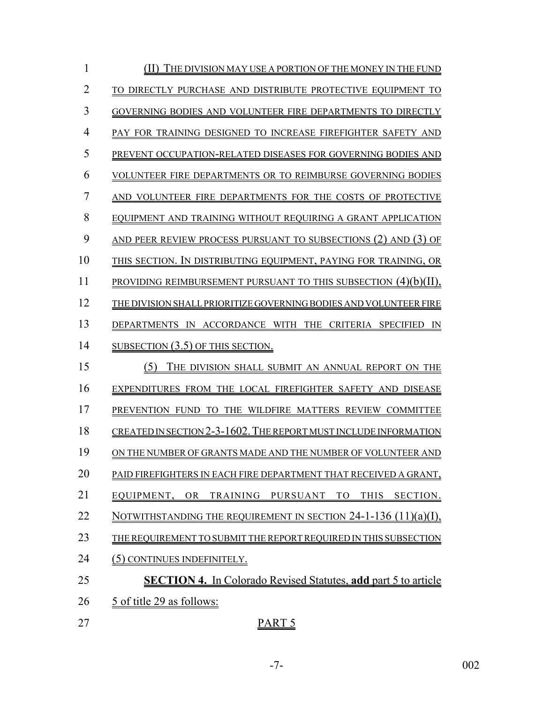| 1              | THE DIVISION MAY USE A PORTION OF THE MONEY IN THE FUND               |
|----------------|-----------------------------------------------------------------------|
| $\overline{2}$ | TO DIRECTLY PURCHASE AND DISTRIBUTE PROTECTIVE EOUIPMENT TO           |
| 3              | GOVERNING BODIES AND VOLUNTEER FIRE DEPARTMENTS TO DIRECTLY           |
| 4              | PAY FOR TRAINING DESIGNED TO INCREASE FIREFIGHTER SAFETY AND          |
| 5              | PREVENT OCCUPATION-RELATED DISEASES FOR GOVERNING BODIES AND          |
| 6              | VOLUNTEER FIRE DEPARTMENTS OR TO REIMBURSE GOVERNING BODIES           |
| $\overline{7}$ | AND VOLUNTEER FIRE DEPARTMENTS FOR THE COSTS OF PROTECTIVE            |
| 8              | EQUIPMENT AND TRAINING WITHOUT REQUIRING A GRANT APPLICATION          |
| 9              | AND PEER REVIEW PROCESS PURSUANT TO SUBSECTIONS (2) AND (3) OF        |
| 10             | THIS SECTION. IN DISTRIBUTING EQUIPMENT, PAYING FOR TRAINING, OR      |
| 11             | PROVIDING REIMBURSEMENT PURSUANT TO THIS SUBSECTION $(4)(b)(II)$ .    |
| 12             | THE DIVISION SHALL PRIORITIZE GOVERNING BODIES AND VOLUNTEER FIRE     |
| 13             | DEPARTMENTS IN ACCORDANCE WITH THE CRITERIA SPECIFIED IN              |
| 14             | SUBSECTION (3.5) OF THIS SECTION.                                     |
| 15             | (5)<br>THE DIVISION SHALL SUBMIT AN ANNUAL REPORT ON THE              |
| 16             | EXPENDITURES FROM THE LOCAL FIREFIGHTER SAFETY AND DISEASE            |
| 17             | PREVENTION FUND TO THE WILDFIRE MATTERS REVIEW COMMITTEE              |
| 18             | CREATED IN SECTION 2-3-1602. THE REPORT MUST INCLUDE INFORMATION      |
| 19             | ON THE NUMBER OF GRANTS MADE AND THE NUMBER OF VOLUNTEER AND          |
| 20             | PAID FIREFIGHTERS IN EACH FIRE DEPARTMENT THAT RECEIVED A GRANT,      |
| 21             | TRAINING PURSUANT<br><b>THIS</b><br>EQUIPMENT, OR<br>TO<br>SECTION.   |
| 22             | NOTWITHSTANDING THE REQUIREMENT IN SECTION $24-1-136$ $(11)(a)(I)$ ,  |
| 23             | THE REQUIREMENT TO SUBMIT THE REPORT REQUIRED IN THIS SUBSECTION      |
| 24             | (5) CONTINUES INDEFINITELY.                                           |
| 25             | <b>SECTION 4.</b> In Colorado Revised Statutes, add part 5 to article |
| 26             | <u>5 of title 29 as follows:</u>                                      |
| 27             | PART <sub>5</sub>                                                     |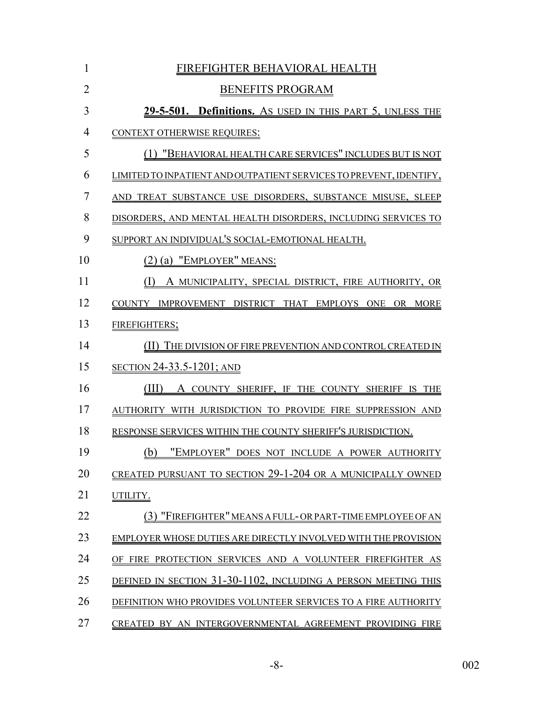| $\mathbf{1}$   | FIREFIGHTER BEHAVIORAL HEALTH                                      |
|----------------|--------------------------------------------------------------------|
| $\overline{2}$ | <b>BENEFITS PROGRAM</b>                                            |
| 3              | 29-5-501. Definitions. As USED IN THIS PART 5, UNLESS THE          |
| $\overline{4}$ | <b>CONTEXT OTHERWISE REQUIRES:</b>                                 |
| 5              | (1) "BEHAVIORAL HEALTH CARE SERVICES" INCLUDES BUT IS NOT          |
| 6              | LIMITED TO INPATIENT AND OUTPATIENT SERVICES TO PREVENT, IDENTIFY, |
| $\overline{7}$ | AND TREAT SUBSTANCE USE DISORDERS, SUBSTANCE MISUSE, SLEEP         |
| 8              | DISORDERS, AND MENTAL HEALTH DISORDERS, INCLUDING SERVICES TO      |
| 9              | SUPPORT AN INDIVIDUAL'S SOCIAL-EMOTIONAL HEALTH.                   |
| 10             | $(2)$ $(a)$ "EMPLOYER" MEANS:                                      |
| 11             | (I) A MUNICIPALITY, SPECIAL DISTRICT, FIRE AUTHORITY, OR           |
| 12             | COUNTY IMPROVEMENT DISTRICT THAT EMPLOYS ONE OR MORE               |
| 13             | <b>FIREFIGHTERS;</b>                                               |
| 14             | (II) THE DIVISION OF FIRE PREVENTION AND CONTROL CREATED IN        |
| 15             | <b>SECTION 24-33.5-1201; AND</b>                                   |
| 16             | (III)<br>A COUNTY SHERIFF, IF THE COUNTY SHERIFF IS THE            |
| 17             | AUTHORITY WITH JURISDICTION TO PROVIDE FIRE SUPPRESSION AND        |
| 18             | RESPONSE SERVICES WITHIN THE COUNTY SHERIFF'S JURISDICTION.        |
| 19             | "EMPLOYER" DOES NOT INCLUDE A POWER AUTHORITY<br>(b)               |
| 20             | CREATED PURSUANT TO SECTION 29-1-204 OR A MUNICIPALLY OWNED        |
| 21             | UTILITY.                                                           |
| 22             | "FIREFIGHTER" MEANS A FULL-OR PART-TIME EMPLOYEE OF AN             |
| 23             | EMPLOYER WHOSE DUTIES ARE DIRECTLY INVOLVED WITH THE PROVISION     |
| 24             | OF FIRE PROTECTION SERVICES AND A VOLUNTEER FIREFIGHTER AS         |
| 25             | DEFINED IN SECTION 31-30-1102, INCLUDING A PERSON MEETING THIS     |
| 26             | DEFINITION WHO PROVIDES VOLUNTEER SERVICES TO A FIRE AUTHORITY     |
| 27             | CREATED BY AN INTERGOVERNMENTAL AGREEMENT PROVIDING FIRE           |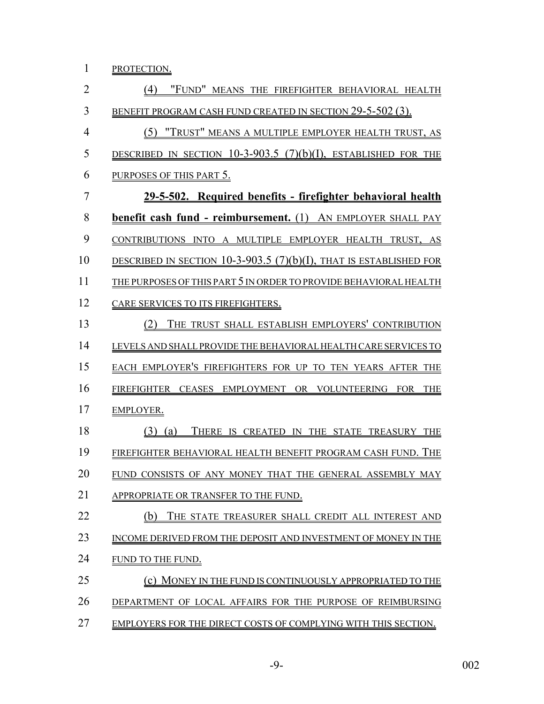1 PROTECTION.

 (4) "FUND" MEANS THE FIREFIGHTER BEHAVIORAL HEALTH BENEFIT PROGRAM CASH FUND CREATED IN SECTION 29-5-502 (3). (5) "TRUST" MEANS A MULTIPLE EMPLOYER HEALTH TRUST, AS DESCRIBED IN SECTION 10-3-903.5 (7)(b)(I), ESTABLISHED FOR THE PURPOSES OF THIS PART 5. **29-5-502. Required benefits - firefighter behavioral health benefit cash fund - reimbursement.** (1) AN EMPLOYER SHALL PAY CONTRIBUTIONS INTO A MULTIPLE EMPLOYER HEALTH TRUST, AS DESCRIBED IN SECTION 10-3-903.5 (7)(b)(I), THAT IS ESTABLISHED FOR THE PURPOSES OF THIS PART 5 IN ORDER TO PROVIDE BEHAVIORAL HEALTH 12 CARE SERVICES TO ITS FIREFIGHTERS. (2) THE TRUST SHALL ESTABLISH EMPLOYERS' CONTRIBUTION LEVELS AND SHALL PROVIDE THE BEHAVIORAL HEALTH CARE SERVICES TO EACH EMPLOYER'S FIREFIGHTERS FOR UP TO TEN YEARS AFTER THE FIREFIGHTER CEASES EMPLOYMENT OR VOLUNTEERING FOR THE EMPLOYER. (3) (a) THERE IS CREATED IN THE STATE TREASURY THE FIREFIGHTER BEHAVIORAL HEALTH BENEFIT PROGRAM CASH FUND. THE FUND CONSISTS OF ANY MONEY THAT THE GENERAL ASSEMBLY MAY APPROPRIATE OR TRANSFER TO THE FUND. 22 (b) THE STATE TREASURER SHALL CREDIT ALL INTEREST AND 23 INCOME DERIVED FROM THE DEPOSIT AND INVESTMENT OF MONEY IN THE FUND TO THE FUND. (c) MONEY IN THE FUND IS CONTINUOUSLY APPROPRIATED TO THE DEPARTMENT OF LOCAL AFFAIRS FOR THE PURPOSE OF REIMBURSING EMPLOYERS FOR THE DIRECT COSTS OF COMPLYING WITH THIS SECTION.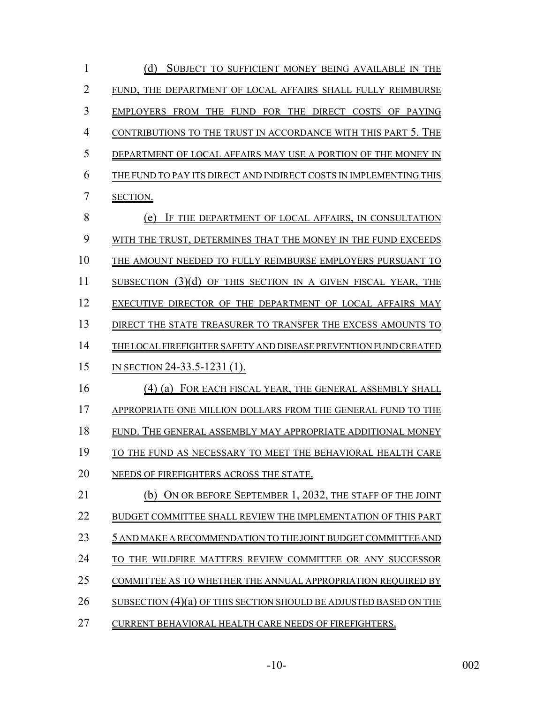| $\mathbf{1}$   | (d) SUBJECT TO SUFFICIENT MONEY BEING AVAILABLE IN THE             |
|----------------|--------------------------------------------------------------------|
| $\overline{2}$ | FUND, THE DEPARTMENT OF LOCAL AFFAIRS SHALL FULLY REIMBURSE        |
| 3              | EMPLOYERS FROM THE FUND FOR THE DIRECT COSTS OF PAYING             |
| $\overline{4}$ | CONTRIBUTIONS TO THE TRUST IN ACCORDANCE WITH THIS PART 5. THE     |
| 5              | DEPARTMENT OF LOCAL AFFAIRS MAY USE A PORTION OF THE MONEY IN      |
| 6              | THE FUND TO PAY ITS DIRECT AND INDIRECT COSTS IN IMPLEMENTING THIS |
| 7              | SECTION.                                                           |
| 8              | (e)<br>IF THE DEPARTMENT OF LOCAL AFFAIRS, IN CONSULTATION         |
| 9              | WITH THE TRUST, DETERMINES THAT THE MONEY IN THE FUND EXCEEDS      |
| 10             | THE AMOUNT NEEDED TO FULLY REIMBURSE EMPLOYERS PURSUANT TO         |
| 11             | SUBSECTION (3)(d) OF THIS SECTION IN A GIVEN FISCAL YEAR, THE      |
| 12             | EXECUTIVE DIRECTOR OF THE DEPARTMENT OF LOCAL AFFAIRS MAY          |
| 13             | DIRECT THE STATE TREASURER TO TRANSFER THE EXCESS AMOUNTS TO       |
| 14             | THE LOCAL FIREFIGHTER SAFETY AND DISEASE PREVENTION FUND CREATED   |
| 15             | IN SECTION 24-33.5-1231 (1).                                       |
| 16             | (4) (a) FOR EACH FISCAL YEAR, THE GENERAL ASSEMBLY SHALL           |
| 17             | APPROPRIATE ONE MILLION DOLLARS FROM THE GENERAL FUND TO THE       |
| 18             | FUND. THE GENERAL ASSEMBLY MAY APPROPRIATE ADDITIONAL MONEY        |
| 19             | TO THE FUND AS NECESSARY TO MEET THE BEHAVIORAL HEALTH CARE        |
| 20             | NEEDS OF FIREFIGHTERS ACROSS THE STATE.                            |
| 21             | (b) ON OR BEFORE SEPTEMBER 1, 2032, THE STAFF OF THE JOINT         |
| 22             | BUDGET COMMITTEE SHALL REVIEW THE IMPLEMENTATION OF THIS PART      |
| 23             | 5 AND MAKE A RECOMMENDATION TO THE JOINT BUDGET COMMITTEE AND      |
| 24             | TO THE WILDFIRE MATTERS REVIEW COMMITTEE OR ANY SUCCESSOR          |
| 25             | COMMITTEE AS TO WHETHER THE ANNUAL APPROPRIATION REQUIRED BY       |
| 26             | SUBSECTION (4)(a) OF THIS SECTION SHOULD BE ADJUSTED BASED ON THE  |
| 27             | CURRENT BEHAVIORAL HEALTH CARE NEEDS OF FIREFIGHTERS.              |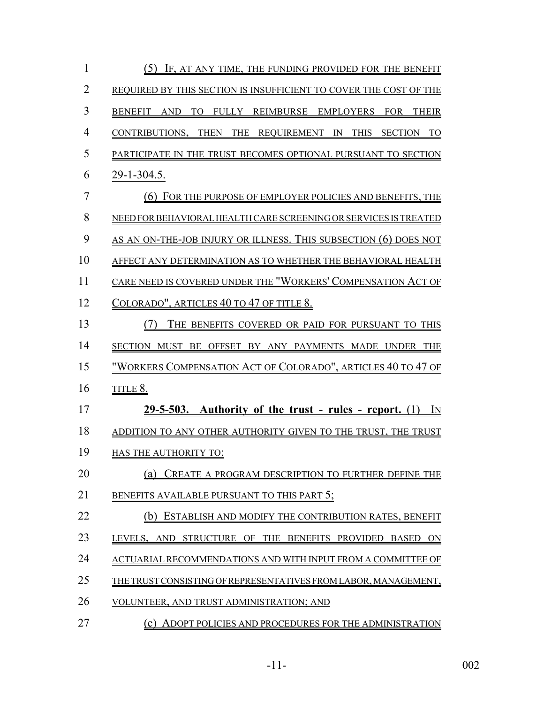| $\mathbf{1}$   | (5) IF, AT ANY TIME, THE FUNDING PROVIDED FOR THE BENEFIT           |
|----------------|---------------------------------------------------------------------|
| $\overline{2}$ | REQUIRED BY THIS SECTION IS INSUFFICIENT TO COVER THE COST OF THE   |
| 3              | TO FULLY REIMBURSE EMPLOYERS FOR THEIR<br>BENEFIT AND               |
| $\overline{4}$ | CONTRIBUTIONS, THEN THE REQUIREMENT IN THIS SECTION TO              |
| 5              | PARTICIPATE IN THE TRUST BECOMES OPTIONAL PURSUANT TO SECTION       |
| 6              | <u>29-1-304.5.</u>                                                  |
| $\overline{7}$ | (6) FOR THE PURPOSE OF EMPLOYER POLICIES AND BENEFITS, THE          |
| 8              | NEED FOR BEHAVIORAL HEALTH CARE SCREENING OR SERVICES IS TREATED    |
| 9              | AS AN ON-THE-JOB INJURY OR ILLNESS. THIS SUBSECTION (6) DOES NOT    |
| 10             | AFFECT ANY DETERMINATION AS TO WHETHER THE BEHAVIORAL HEALTH        |
| 11             | CARE NEED IS COVERED UNDER THE "WORKERS' COMPENSATION ACT OF        |
| 12             | <u>Colorado", articles 40 to 47 of title 8.</u>                     |
| 13             | THE BENEFITS COVERED OR PAID FOR PURSUANT TO THIS                   |
| 14             | SECTION MUST BE OFFSET BY ANY PAYMENTS MADE UNDER THE               |
| 15             | <u>"WORKERS COMPENSATION ACT OF COLORADO", ARTICLES 40 TO 47 OF</u> |
| 16             | <u>TITLE 8.</u>                                                     |
| 17             | $29-5-503$ . Authority of the trust - rules - report. (1) IN        |
| 18             | ADDITION TO ANY OTHER AUTHORITY GIVEN TO THE TRUST, THE TRUST       |
| 19             | HAS THE AUTHORITY TO:                                               |
| 20             | CREATE A PROGRAM DESCRIPTION TO FURTHER DEFINE THE<br>(a)           |
| 21             | BENEFITS AVAILABLE PURSUANT TO THIS PART 5;                         |
| 22             | ESTABLISH AND MODIFY THE CONTRIBUTION RATES, BENEFIT<br>(b)         |
| 23             | LEVELS, AND STRUCTURE OF THE BENEFITS PROVIDED BASED ON             |
| 24             | ACTUARIAL RECOMMENDATIONS AND WITH INPUT FROM A COMMITTEE OF        |
| 25             | THE TRUST CONSISTING OF REPRESENTATIVES FROM LABOR, MANAGEMENT,     |
| 26             | VOLUNTEER, AND TRUST ADMINISTRATION; AND                            |
| 27             | ADOPT POLICIES AND PROCEDURES FOR THE ADMINISTRATION<br>(c)         |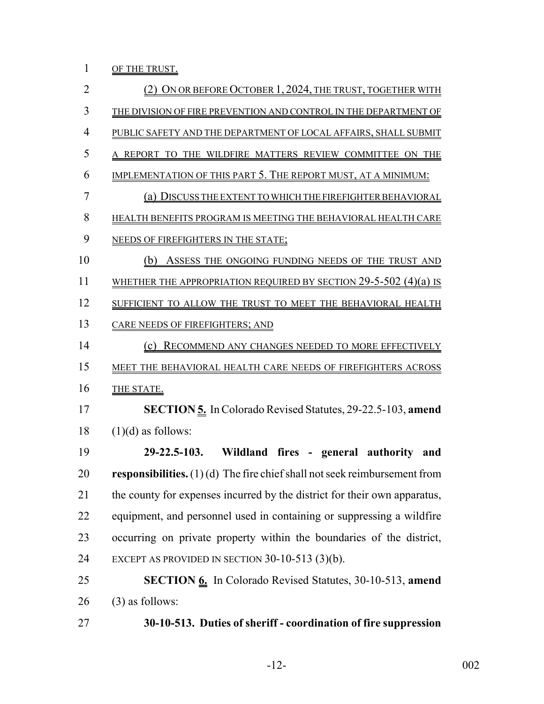1 OF THE TRUST.

| $\overline{2}$ | (2) ON OR BEFORE OCTOBER 1, 2024, THE TRUST, TOGETHER WITH                         |
|----------------|------------------------------------------------------------------------------------|
| 3              | THE DIVISION OF FIRE PREVENTION AND CONTROL IN THE DEPARTMENT OF                   |
| 4              | PUBLIC SAFETY AND THE DEPARTMENT OF LOCAL AFFAIRS, SHALL SUBMIT                    |
| 5              | A REPORT TO THE WILDFIRE MATTERS REVIEW COMMITTEE ON THE                           |
| 6              | IMPLEMENTATION OF THIS PART 5. THE REPORT MUST, AT A MINIMUM:                      |
| 7              | (a) DISCUSS THE EXTENT TO WHICH THE FIREFIGHTER BEHAVIORAL                         |
| 8              | HEALTH BENEFITS PROGRAM IS MEETING THE BEHAVIORAL HEALTH CARE                      |
| 9              | NEEDS OF FIREFIGHTERS IN THE STATE;                                                |
| 10             | (b)<br>ASSESS THE ONGOING FUNDING NEEDS OF THE TRUST AND                           |
| 11             | WHETHER THE APPROPRIATION REQUIRED BY SECTION $29$ -5-502 (4)(a) is                |
| 12             | SUFFICIENT TO ALLOW THE TRUST TO MEET THE BEHAVIORAL HEALTH                        |
| 13             | CARE NEEDS OF FIREFIGHTERS; AND                                                    |
| 14             | RECOMMEND ANY CHANGES NEEDED TO MORE EFFECTIVELY<br>(c)                            |
| 15             | MEET THE BEHAVIORAL HEALTH CARE NEEDS OF FIREFIGHTERS ACROSS                       |
| 16             | THE STATE.                                                                         |
| 17             | <b>SECTION 5.</b> In Colorado Revised Statutes, 29-22.5-103, amend                 |
| 18             | $(1)(d)$ as follows:                                                               |
| 19             | Wildland fires - general authority and<br>$29 - 22.5 - 103.$                       |
| 20             | <b>responsibilities.</b> $(1)(d)$ The fire chief shall not seek reimbursement from |
| 21             | the county for expenses incurred by the district for their own apparatus,          |
| 22             | equipment, and personnel used in containing or suppressing a wildfire              |
| 23             | occurring on private property within the boundaries of the district,               |
| 24             | EXCEPT AS PROVIDED IN SECTION $30-10-513$ (3)(b).                                  |
| 25             | <b>SECTION 6.</b> In Colorado Revised Statutes, 30-10-513, amend                   |
| 26             | $(3)$ as follows:                                                                  |
| 27             | 30-10-513. Duties of sheriff - coordination of fire suppression                    |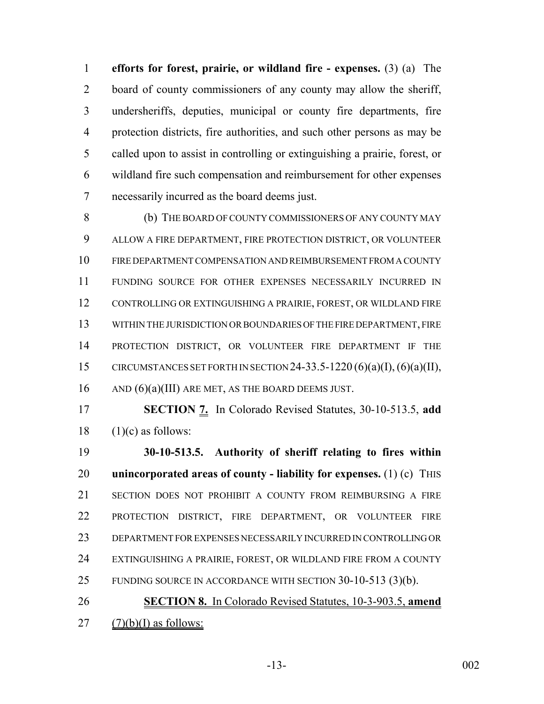**efforts for forest, prairie, or wildland fire - expenses.** (3) (a) The 2 board of county commissioners of any county may allow the sheriff, undersheriffs, deputies, municipal or county fire departments, fire protection districts, fire authorities, and such other persons as may be called upon to assist in controlling or extinguishing a prairie, forest, or wildland fire such compensation and reimbursement for other expenses necessarily incurred as the board deems just.

 (b) THE BOARD OF COUNTY COMMISSIONERS OF ANY COUNTY MAY ALLOW A FIRE DEPARTMENT, FIRE PROTECTION DISTRICT, OR VOLUNTEER FIRE DEPARTMENT COMPENSATION AND REIMBURSEMENT FROM A COUNTY FUNDING SOURCE FOR OTHER EXPENSES NECESSARILY INCURRED IN CONTROLLING OR EXTINGUISHING A PRAIRIE, FOREST, OR WILDLAND FIRE WITHIN THE JURISDICTION OR BOUNDARIES OF THE FIRE DEPARTMENT, FIRE PROTECTION DISTRICT, OR VOLUNTEER FIRE DEPARTMENT IF THE 15 CIRCUMSTANCES SET FORTH IN SECTION 24-33.5-1220 (6)(a)(I), (6)(a)(II), 16 AND (6)(a)(III) ARE MET, AS THE BOARD DEEMS JUST.

 **SECTION 7.** In Colorado Revised Statutes, 30-10-513.5, **add** (1)(c) as follows:

 **30-10-513.5. Authority of sheriff relating to fires within unincorporated areas of county - liability for expenses.** (1) (c) THIS SECTION DOES NOT PROHIBIT A COUNTY FROM REIMBURSING A FIRE PROTECTION DISTRICT, FIRE DEPARTMENT, OR VOLUNTEER FIRE DEPARTMENT FOR EXPENSES NECESSARILY INCURRED IN CONTROLLING OR EXTINGUISHING A PRAIRIE, FOREST, OR WILDLAND FIRE FROM A COUNTY FUNDING SOURCE IN ACCORDANCE WITH SECTION 30-10-513 (3)(b).

 **SECTION 8.** In Colorado Revised Statutes, 10-3-903.5, **amend** 27  $(7)(b)(I)$  as follows: